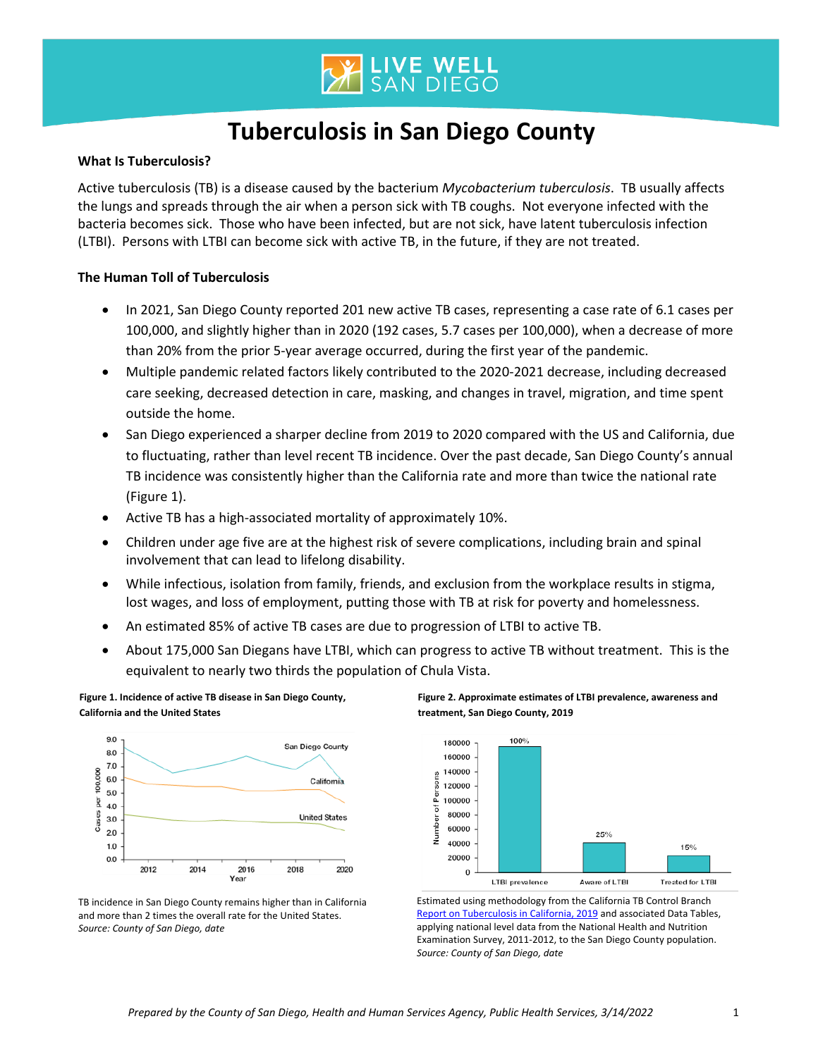

# **Tuberculosis in San Diego County**

## **What Is Tuberculosis?**

Active tuberculosis (TB) is a disease caused by the bacterium *Mycobacterium tuberculosis*. TB usually affects the lungs and spreads through the air when a person sick with TB coughs. Not everyone infected with the bacteria becomes sick. Those who have been infected, but are not sick, have latent tuberculosis infection (LTBI). Persons with LTBI can become sick with active TB, in the future, if they are not treated.

## **The Human Toll of Tuberculosis**

- In 2021, San Diego County reported 201 new active TB cases, representing a case rate of 6.1 cases per 100,000, and slightly higher than in 2020 (192 cases, 5.7 cases per 100,000), when a decrease of more than 20% from the prior 5-year average occurred, during the first year of the pandemic.
- Multiple pandemic related factors likely contributed to the 2020-2021 decrease, including decreased care seeking, decreased detection in care, masking, and changes in travel, migration, and time spent outside the home.
- San Diego experienced a sharper decline from 2019 to 2020 compared with the US and California, due to fluctuating, rather than level recent TB incidence. Over the past decade, San Diego County's annual TB incidence was consistently higher than the California rate and more than twice the national rate (Figure 1).
- Active TB has a high-associated mortality of approximately 10%.
- Children under age five are at the highest risk of severe complications, including brain and spinal involvement that can lead to lifelong disability.
- While infectious, isolation from family, friends, and exclusion from the workplace results in stigma, lost wages, and loss of employment, putting those with TB at risk for poverty and homelessness.
- An estimated 85% of active TB cases are due to progression of LTBI to active TB.
- About 175,000 San Diegans have LTBI, which can progress to active TB without treatment. This is the equivalent to nearly two thirds the population of Chula Vista.





**treatment, San Diego County, 2019**

**Figure 2. Approximate estimates of LTBI prevalence, awareness and** 



Estimated using methodology from the California TB Control Branch [Report on Tuberculosis in California, 2019](https://www.cdph.ca.gov/Programs/CID/DCDC/Pages/TB-Disease-Data.aspx) and associated Data Tables, applying national level data from the National Health and Nutrition Examination Survey, 2011-2012, to the San Diego County population. *Source: County of San Diego, date*